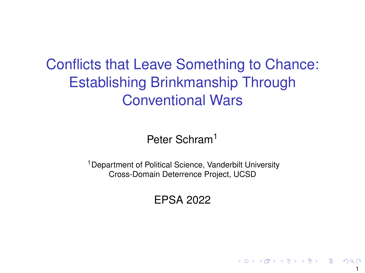# Conflicts that Leave Something to Chance: Establishing Brinkmanship Through Conventional Wars

Peter Schram<sup>1</sup>

<sup>1</sup>Department of Political Science, Vanderbilt University Cross-Domain Deterrence Project, UCSD

EPSA 2022

1

イロトメ 倒 トメ ミトメ ミトリ ミ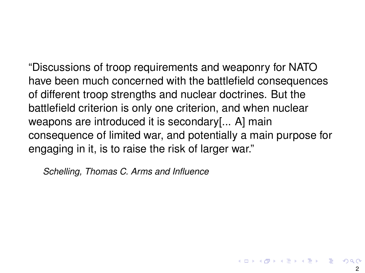"Discussions of troop requirements and weaponry for NATO have been much concerned with the battlefield consequences of different troop strengths and nuclear doctrines. But the battlefield criterion is only one criterion, and when nuclear weapons are introduced it is secondary[... A] main consequence of limited war, and potentially a main purpose for engaging in it, is to raise the risk of larger war."

*Schelling, Thomas C. Arms and Influence*

K ロ K K 御 K K 著 K K 著 K … 著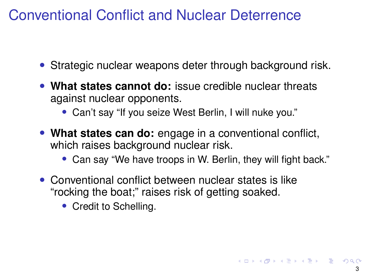## Conventional Conflict and Nuclear Deterrence

- Strategic nuclear weapons deter through background risk.
- **What states cannot do:** issue credible nuclear threats against nuclear opponents.
	- Can't say "If you seize West Berlin, I will nuke you."
- **What states can do:** engage in a conventional conflict, which raises background nuclear risk.
	- Can say "We have troops in W. Berlin, they will fight back."
- Conventional conflict between nuclear states is like "rocking the boat;" raises risk of getting soaked.
	- Credit to Schelling.

K ロ ト K 個 ト K 差 ト K 差 ト … 差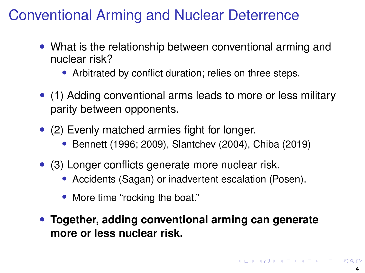## Conventional Arming and Nuclear Deterrence

- What is the relationship between conventional arming and nuclear risk?
	- Arbitrated by conflict duration; relies on three steps.
- (1) Adding conventional arms leads to more or less military parity between opponents.
- (2) Evenly matched armies fight for longer.
	- Bennett (1996; 2009), Slantchev (2004), Chiba (2019)
- (3) Longer conflicts generate more nuclear risk.
	- Accidents (Sagan) or inadvertent escalation (Posen).
	- More time "rocking the boat."
- **Together, adding conventional arming can generate more or less nuclear risk.**

K ロ ▶ K @ ▶ K 할 ▶ K 할 ▶ ① 할 → ① Q @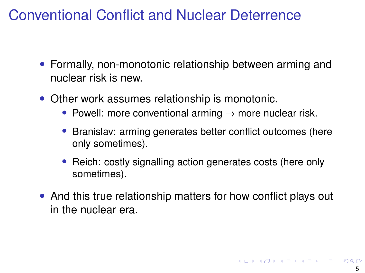## Conventional Conflict and Nuclear Deterrence

- Formally, non-monotonic relationship between arming and nuclear risk is new.
- Other work assumes relationship is monotonic.
	- Powell: more conventional arming  $\rightarrow$  more nuclear risk.
	- Branislav: arming generates better conflict outcomes (here only sometimes).
	- Reich: costly signalling action generates costs (here only sometimes).
- And this true relationship matters for how conflict plays out in the nuclear era.

K ロ X K 御 X K 差 X K 差 X …差 …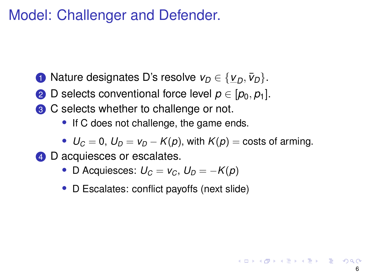### Model: Challenger and Defender.

- **1** Nature designates D's resolve  $v_D \in \{v_D, \bar{v}_D\}.$
- 2 D selects conventional force level  $p \in [p_0, p_1]$ .
- **3** C selects whether to challenge or not.
	- If C does not challenge, the game ends.
	- $U_C = 0$ ,  $U_D = V_D K(p)$ , with  $K(p) = \text{costs of arming}$ .
- 4 D acquiesces or escalates.
	- D Acquiesces:  $U_C = V_C$ ,  $U_D = -K(p)$
	- D Escalates: conflict payoffs (next slide)

KORK@RKERKER E 1990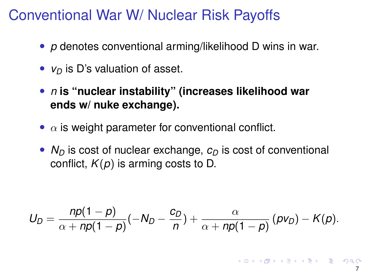#### Conventional War W/ Nuclear Risk Payoffs

- *p* denotes conventional arming/likelihood D wins in war.
- *v*<sub>D</sub> is D's valuation of asset.
- *n* **is "nuclear instability" (increases likelihood war ends w/ nuke exchange).**
- $\alpha$  is weight parameter for conventional conflict.
- $N_D$  is cost of nuclear exchange,  $c_D$  is cost of conventional conflict, *K*(*p*) is arming costs to D.

$$
U_D = \frac{np(1-p)}{\alpha + np(1-p)}(-N_D - \frac{c_D}{n}) + \frac{\alpha}{\alpha + np(1-p)}(pv_D) - K(p).
$$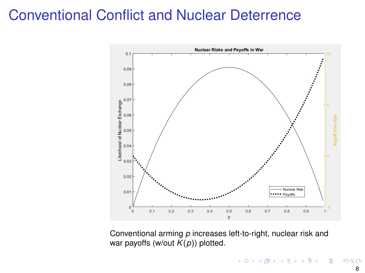#### Conventional Conflict and Nuclear Deterrence



Conventional arming *p* increases left-to-right, nuclear risk and war payoffs (w/out *K*(*p*)) plotted.

 $\mathbf{A} \sqcup \mathbf{B} \rightarrow \mathbf{A} \boxtimes \mathbf{B} \rightarrow \mathbf{A} \boxtimes \mathbf{B}$ Þ  $299$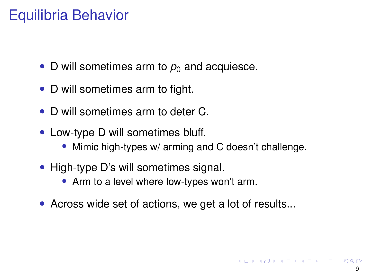### Equilibria Behavior

- D will sometimes arm to  $p_0$  and acquiesce.
- D will sometimes arm to fight.
- D will sometimes arm to deter C.
- Low-type D will sometimes bluff.
	- Mimic high-types w/ arming and C doesn't challenge.
- High-type D's will sometimes signal.
	- Arm to a level where low-types won't arm.
- Across wide set of actions, we get a lot of results...

◆ロト→個ト→重ト→重ト→重。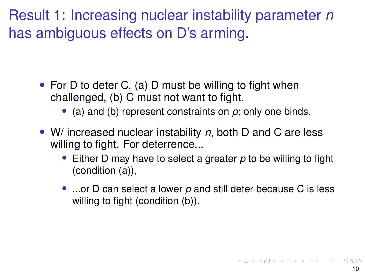Result 1: Increasing nuclear instability parameter *n* has ambiguous effects on D's arming.

- For D to deter C, (a) D must be willing to fight when challenged, (b) C must not want to fight.
	- (a) and (b) represent constraints on *p*; only one binds.
- W/ increased nuclear instability *n*, both D and C are less willing to fight. For deterrence...
	- Either D may have to select a greater *p* to be willing to fight (condition (a)),
	- ...or D can select a lower *p* and still deter because C is less willing to fight (condition (b)).

**K ロ ▶ K 御 ▶ K 重 ▶ K 重 ▶ │ 重**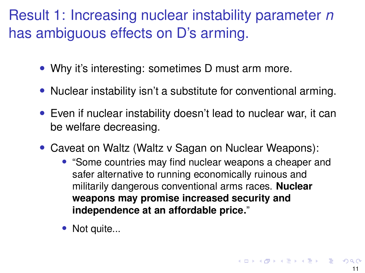# Result 1: Increasing nuclear instability parameter *n* has ambiguous effects on D's arming.

- Why it's interesting: sometimes D must arm more.
- Nuclear instability isn't a substitute for conventional arming.
- Even if nuclear instability doesn't lead to nuclear war, it can be welfare decreasing.
- Caveat on Waltz (Waltz v Sagan on Nuclear Weapons):
	- "Some countries may find nuclear weapons a cheaper and safer alternative to running economically ruinous and militarily dangerous conventional arms races. **Nuclear weapons may promise increased security and independence at an affordable price.**"
	- Not quite...

◆ロト→ 伊ト→ 君ト→ 君ト ○君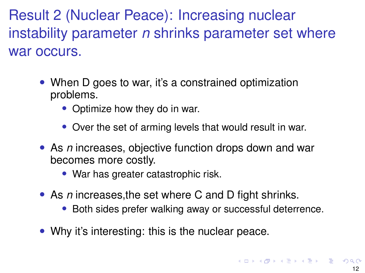Result 2 (Nuclear Peace): Increasing nuclear instability parameter *n* shrinks parameter set where war occurs.

- When D goes to war, it's a constrained optimization problems.
	- Optimize how they do in war.
	- Over the set of arming levels that would result in war.
- As *n* increases, objective function drops down and war becomes more costly.
	- War has greater catastrophic risk.
- As *n* increases,the set where C and D fight shrinks.
	- Both sides prefer walking away or successful deterrence.
- Why it's interesting: this is the nuclear peace.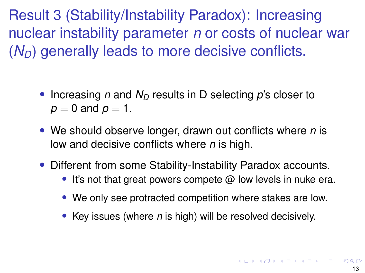Result 3 (Stability/Instability Paradox): Increasing nuclear instability parameter *n* or costs of nuclear war  $(N_D)$  generally leads to more decisive conflicts.

- Increasing *n* and  $N<sub>D</sub>$  results in D selecting *p*'s closer to  $p = 0$  and  $p = 1$ .
- We should observe longer, drawn out conflicts where *n* is low and decisive conflicts where *n* is high.
- Different from some Stability-Instability Paradox accounts.
	- It's not that great powers compete  $@$  low levels in nuke era.
	- We only see protracted competition where stakes are low.
	- Key issues (where *n* is high) will be resolved decisively.

**K ロ ▶ K 御 ▶ K 重 ▶ K 重 ▶ │ 重**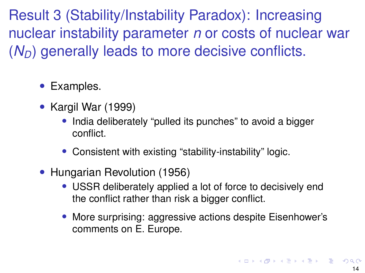Result 3 (Stability/Instability Paradox): Increasing nuclear instability parameter *n* or costs of nuclear war  $(N_D)$  generally leads to more decisive conflicts.

- Examples.
- Kargil War (1999)
	- India deliberately "pulled its punches" to avoid a bigger conflict.
	- Consistent with existing "stability-instability" logic.
- Hungarian Revolution (1956)
	- USSR deliberately applied a lot of force to decisively end the conflict rather than risk a bigger conflict.
	- More surprising: aggressive actions despite Eisenhower's comments on E. Europe.

◆ロト→ 伊ト→ 君ト→ 君ト ○君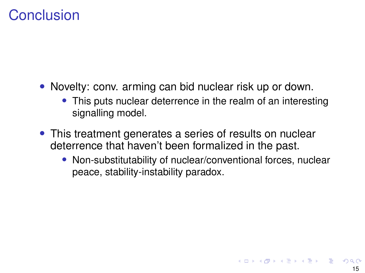### **Conclusion**

- Novelty: conv. arming can bid nuclear risk up or down.
	- This puts nuclear deterrence in the realm of an interesting signalling model.
- This treatment generates a series of results on nuclear deterrence that haven't been formalized in the past.
	- Non-substitutability of nuclear/conventional forces, nuclear peace, stability-instability paradox.

K ロ ▶ K 御 ▶ K 唐 ▶ K 唐 ▶ ○唐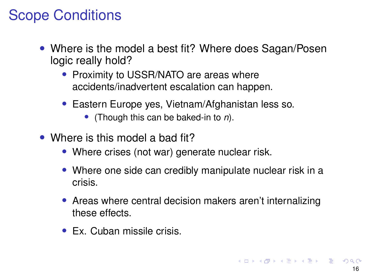# Scope Conditions

- Where is the model a best fit? Where does Sagan/Posen logic really hold?
	- Proximity to USSR/NATO are areas where accidents/inadvertent escalation can happen.
	- Eastern Europe yes, Vietnam/Afghanistan less so.
		- (Though this can be baked-in to *n*).
- Where is this model a bad fit?
	- Where crises (not war) generate nuclear risk.
	- Where one side can credibly manipulate nuclear risk in a crisis.
	- Areas where central decision makers aren't internalizing these effects.
	- Ex. Cuban missile crisis.

K ロ ▶ K 御 ▶ K 唐 ▶ K 唐 ▶ ○唐